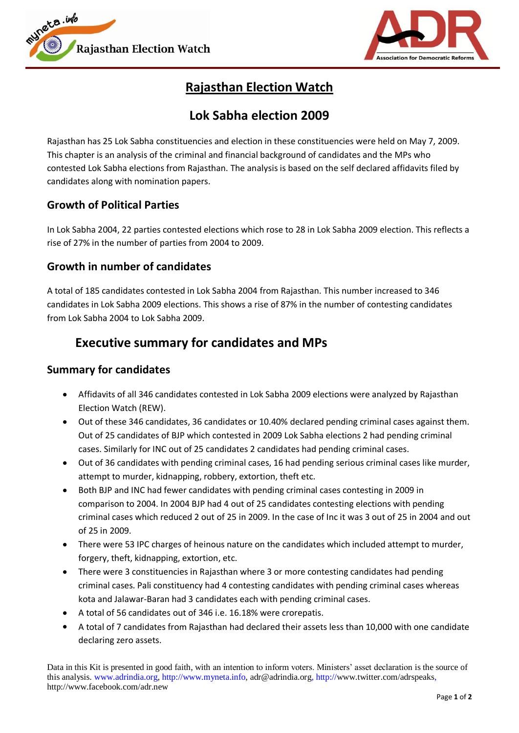



# **Rajasthan Election Watch**

### **Lok Sabha election 2009**

Rajasthan has 25 Lok Sabha constituencies and election in these constituencies were held on May 7, 2009. This chapter is an analysis of the criminal and financial background of candidates and the MPs who contested Lok Sabha elections from Rajasthan. The analysis is based on the self declared affidavits filed by candidates along with nomination papers.

### **Growth of Political Parties**

In Lok Sabha 2004, 22 parties contested elections which rose to 28 in Lok Sabha 2009 election. This reflects a rise of 27% in the number of parties from 2004 to 2009.

### **Growth in number of candidates**

A total of 185 candidates contested in Lok Sabha 2004 from Rajasthan. This number increased to 346 candidates in Lok Sabha 2009 elections. This shows a rise of 87% in the number of contesting candidates from Lok Sabha 2004 to Lok Sabha 2009.

## **Executive summary for candidates and MPs**

#### **Summary for candidates**

- Affidavits of all 346 candidates contested in Lok Sabha 2009 elections were analyzed by Rajasthan Election Watch (REW).
- Out of these 346 candidates, 36 candidates or 10.40% declared pending criminal cases against them. Out of 25 candidates of BJP which contested in 2009 Lok Sabha elections 2 had pending criminal cases. Similarly for INC out of 25 candidates 2 candidates had pending criminal cases.
- Out of 36 candidates with pending criminal cases, 16 had pending serious criminal cases like murder, attempt to murder, kidnapping, robbery, extortion, theft etc.
- Both BJP and INC had fewer candidates with pending criminal cases contesting in 2009 in comparison to 2004. In 2004 BJP had 4 out of 25 candidates contesting elections with pending criminal cases which reduced 2 out of 25 in 2009. In the case of Inc it was 3 out of 25 in 2004 and out of 25 in 2009.
- There were 53 IPC charges of heinous nature on the candidates which included attempt to murder, forgery, theft, kidnapping, extortion, etc.
- There were 3 constituencies in Rajasthan where 3 or more contesting candidates had pending criminal cases. Pali constituency had 4 contesting candidates with pending criminal cases whereas kota and Jalawar-Baran had 3 candidates each with pending criminal cases.
- A total of 56 candidates out of 346 i.e. 16.18% were crorepatis.
- A total of 7 candidates from Rajasthan had declared their assets less than 10,000 with one candidate declaring zero assets.

Data in this Kit is presented in good faith, with an intention to inform voters. Ministers' asset declaration is the source of this analysis. www.adrindia.org, http://www.myneta.info, adr@adrindia.org, http://www.twitter.com/adrspeaks, http://www.facebook.com/adr.new